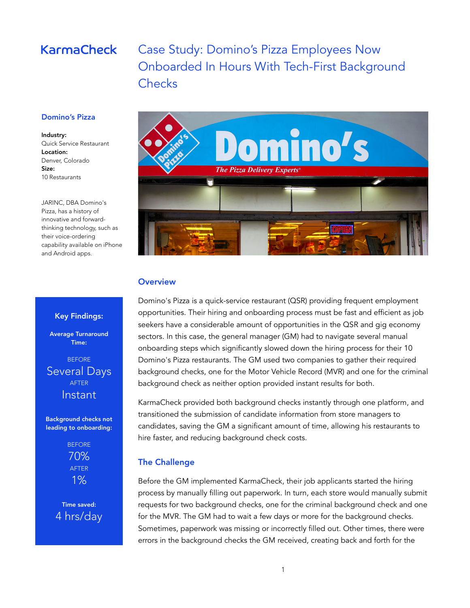# **KarmaCheck**

# Case Study: Domino's Pizza Employees Now Onboarded In Hours With Tech-First Background **Checks**

#### Domino's Pizza

#### Industry:

Quick Service Restaurant Location: Denver, Colorado Size: 10 Restaurants

JARINC, DBA Domino's Pizza, has a history of innovative and forwardthinking technology, such as their voice-ordering capability available on iPhone and Android apps.

Key Findings: Average Turnaround Time: BEFORE Several Days AFTER Instant

Background checks not leading to onboarding:

> BEFORE 70% AFTER 1%

Time saved: 4 hrs/day



#### **Overview**

Domino's Pizza is a quick-service restaurant (QSR) providing frequent employment opportunities. Their hiring and onboarding process must be fast and efficient as job seekers have a considerable amount of opportunities in the QSR and gig economy sectors. In this case, the general manager (GM) had to navigate several manual onboarding steps which significantly slowed down the hiring process for their 10 Domino's Pizza restaurants. The GM used two companies to gather their required background checks, one for the Motor Vehicle Record (MVR) and one for the criminal background check as neither option provided instant results for both.

KarmaCheck provided both background checks instantly through one platform, and transitioned the submission of candidate information from store managers to candidates, saving the GM a significant amount of time, allowing his restaurants to hire faster, and reducing background check costs.

#### The Challenge

Before the GM implemented KarmaCheck, their job applicants started the hiring process by manually filling out paperwork. In turn, each store would manually submit requests for two background checks, one for the criminal background check and one for the MVR. The GM had to wait a few days or more for the background checks. Sometimes, paperwork was missing or incorrectly filled out. Other times, there were errors in the background checks the GM received, creating back and forth for the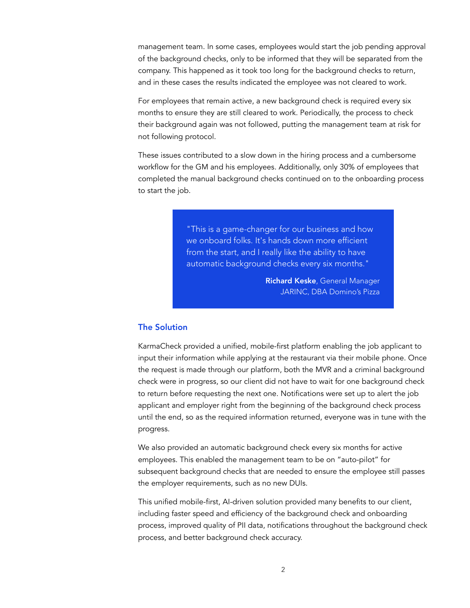management team. In some cases, employees would start the job pending approval of the background checks, only to be informed that they will be separated from the company. This happened as it took too long for the background checks to return, and in these cases the results indicated the employee was not cleared to work.

For employees that remain active, a new background check is required every six months to ensure they are still cleared to work. Periodically, the process to check their background again was not followed, putting the management team at risk for not following protocol.

These issues contributed to a slow down in the hiring process and a cumbersome workflow for the GM and his employees. Additionally, only 30% of employees that completed the manual background checks continued on to the onboarding process to start the job.

> "This is a game-changer for our business and how we onboard folks. It's hands down more efficient from the start, and I really like the ability to have automatic background checks every six months."

> > Richard Keske, General Manager JARINC, DBA Domino's Pizza

### The Solution

KarmaCheck provided a unified, mobile-first platform enabling the job applicant to input their information while applying at the restaurant via their mobile phone. Once the request is made through our platform, both the MVR and a criminal background check were in progress, so our client did not have to wait for one background check to return before requesting the next one. Notifications were set up to alert the job applicant and employer right from the beginning of the background check process until the end, so as the required information returned, everyone was in tune with the progress.

We also provided an automatic background check every six months for active employees. This enabled the management team to be on "auto-pilot" for subsequent background checks that are needed to ensure the employee still passes the employer requirements, such as no new DUIs.

This unified mobile-first, AI-driven solution provided many benefits to our client, including faster speed and efficiency of the background check and onboarding process, improved quality of PII data, notifications throughout the background check process, and better background check accuracy.